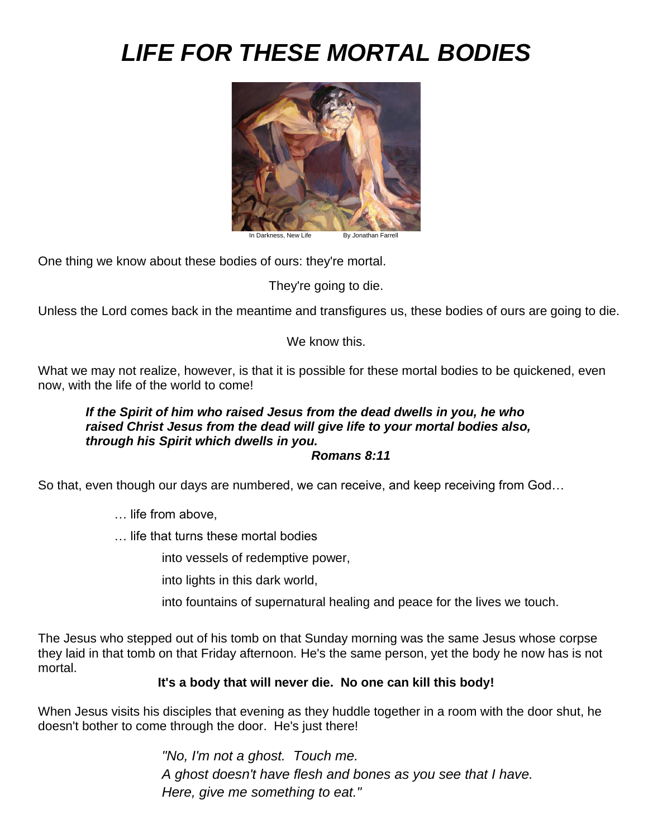# *LIFE FOR THESE MORTAL BODIES*



ness, New Life **By Jonathan Farrell** 

One thing we know about these bodies of ours: they're mortal.

They're going to die.

Unless the Lord comes back in the meantime and transfigures us, these bodies of ours are going to die.

We know this.

What we may not realize, however, is that it is possible for these mortal bodies to be quickened, even now, with the life of the world to come!

#### *If the Spirit of him who raised Jesus from the dead dwells in you, he who raised Christ Jesus from the dead will give life to your mortal bodies also, through his Spirit which dwells in you. Romans 8:11*

So that, even though our days are numbered, we can receive, and keep receiving from God…

- … life from above,
- … life that turns these mortal bodies

into vessels of redemptive power,

into lights in this dark world,

into fountains of supernatural healing and peace for the lives we touch.

The Jesus who stepped out of his tomb on that Sunday morning was the same Jesus whose corpse they laid in that tomb on that Friday afternoon. He's the same person, yet the body he now has is not mortal.

# **It's a body that will never die. No one can kill this body!**

When Jesus visits his disciples that evening as they huddle together in a room with the door shut, he doesn't bother to come through the door. He's just there!

> *"No, I'm not a ghost. Touch me. A ghost doesn't have flesh and bones as you see that I have. Here, give me something to eat."*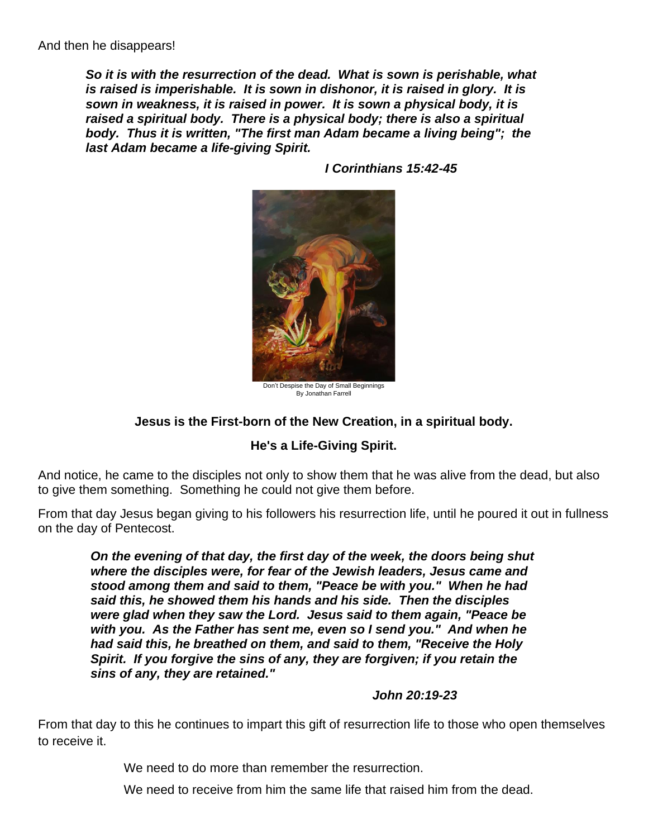*So it is with the resurrection of the dead. What is sown is perishable, what is raised is imperishable. It is sown in dishonor, it is raised in glory. It is sown in weakness, it is raised in power. It is sown a physical body, it is raised a spiritual body. There is a physical body; there is also a spiritual body. Thus it is written, "The first man Adam became a living being"; the last Adam became a life-giving Spirit.* 



*I Corinthians 15:42-45*

Don't Despise the Day of Small Beginnings By Jonathan Farrell

# **Jesus is the First-born of the New Creation, in a spiritual body.**

# **He's a Life-Giving Spirit.**

And notice, he came to the disciples not only to show them that he was alive from the dead, but also to give them something. Something he could not give them before.

From that day Jesus began giving to his followers his resurrection life, until he poured it out in fullness on the day of Pentecost.

*On the evening of that day, the first day of the week, the doors being shut where the disciples were, for fear of the Jewish leaders, Jesus came and stood among them and said to them, "Peace be with you." When he had said this, he showed them his hands and his side. Then the disciples were glad when they saw the Lord. Jesus said to them again, "Peace be with you. As the Father has sent me, even so I send you." And when he had said this, he breathed on them, and said to them, "Receive the Holy Spirit. If you forgive the sins of any, they are forgiven; if you retain the sins of any, they are retained."*

#### *John 20:19-23*

From that day to this he continues to impart this gift of resurrection life to those who open themselves to receive it.

We need to do more than remember the resurrection.

We need to receive from him the same life that raised him from the dead.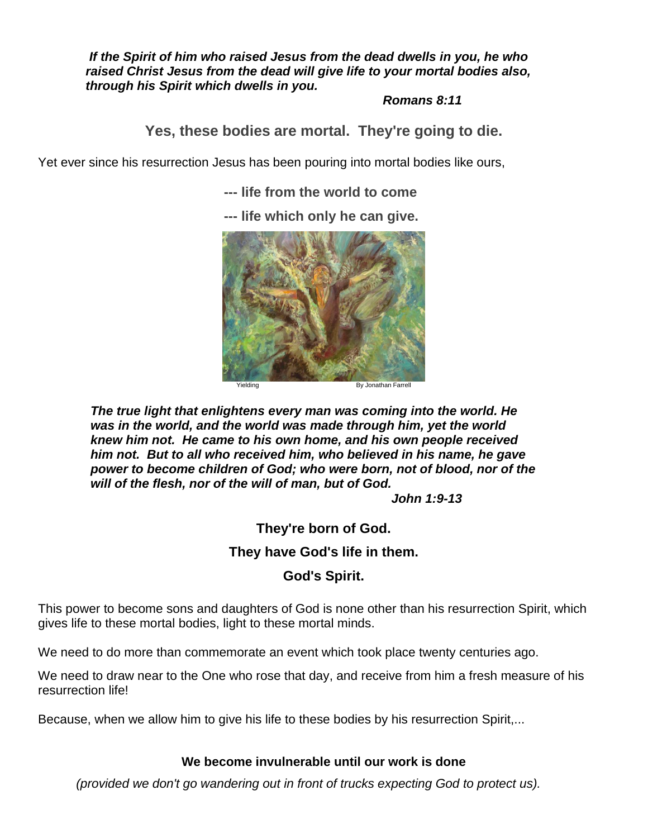*If the Spirit of him who raised Jesus from the dead dwells in you, he who raised Christ Jesus from the dead will give life to your mortal bodies also, through his Spirit which dwells in you.* 

*Romans 8:11*

**Yes, these bodies are mortal. They're going to die.**

Yet ever since his resurrection Jesus has been pouring into mortal bodies like ours,

**--- life from the world to come** 

**--- life which only he can give.**



*The true light that enlightens every man was coming into the world. He was in the world, and the world was made through him, yet the world knew him not. He came to his own home, and his own people received him not. But to all who received him, who believed in his name, he gave power to become children of God; who were born, not of blood, nor of the will of the flesh, nor of the will of man, but of God.*

*John 1:9-13*

**They're born of God.** 

# **They have God's life in them.**

# **God's Spirit.**

This power to become sons and daughters of God is none other than his resurrection Spirit, which gives life to these mortal bodies, light to these mortal minds.

We need to do more than commemorate an event which took place twenty centuries ago.

We need to draw near to the One who rose that day, and receive from him a fresh measure of his resurrection life!

Because, when we allow him to give his life to these bodies by his resurrection Spirit,...

#### **We become invulnerable until our work is done**

*(provided we don't go wandering out in front of trucks expecting God to protect us).*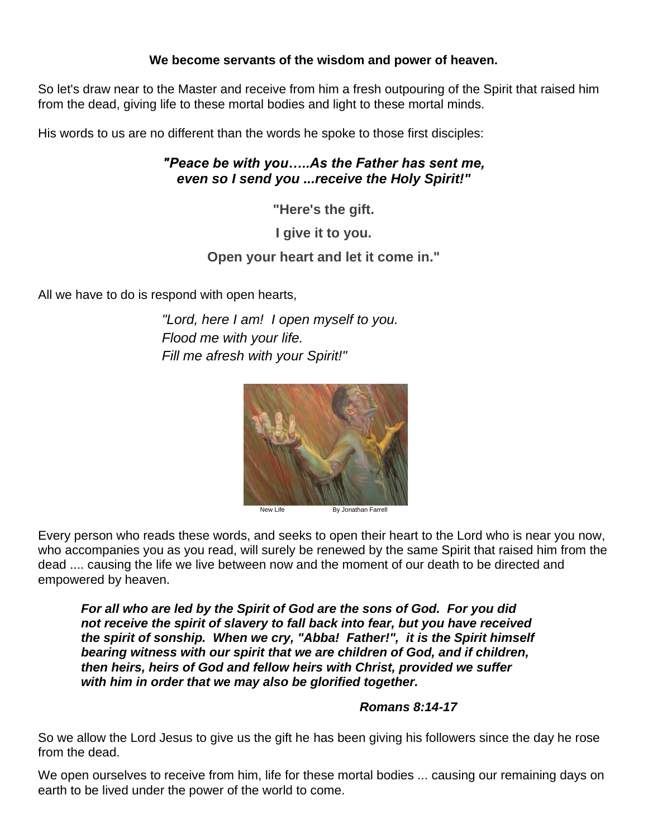#### **We become servants of the wisdom and power of heaven.**

So let's draw near to the Master and receive from him a fresh outpouring of the Spirit that raised him from the dead, giving life to these mortal bodies and light to these mortal minds.

His words to us are no different than the words he spoke to those first disciples:

# *"Peace be with you…..As the Father has sent me, even so I send you ...receive the Holy Spirit!"*

**"Here's the gift.** 

**I give it to you.** 

#### **Open your heart and let it come in."**

All we have to do is respond with open hearts,

*"Lord, here I am! I open myself to you. Flood me with your life. Fill me afresh with your Spirit!"*



New Life By Jonathan Farrell

Every person who reads these words, and seeks to open their heart to the Lord who is near you now, who accompanies you as you read, will surely be renewed by the same Spirit that raised him from the dead .... causing the life we live between now and the moment of our death to be directed and empowered by heaven.

*For all who are led by the Spirit of God are the sons of God. For you did not receive the spirit of slavery to fall back into fear, but you have received the spirit of sonship. When we cry, "Abba! Father!", it is the Spirit himself bearing witness with our spirit that we are children of God, and if children, then heirs, heirs of God and fellow heirs with Christ, provided we suffer with him in order that we may also be glorified together.*

#### *Romans 8:14-17*

So we allow the Lord Jesus to give us the gift he has been giving his followers since the day he rose from the dead.

We open ourselves to receive from him, life for these mortal bodies ... causing our remaining days on earth to be lived under the power of the world to come.